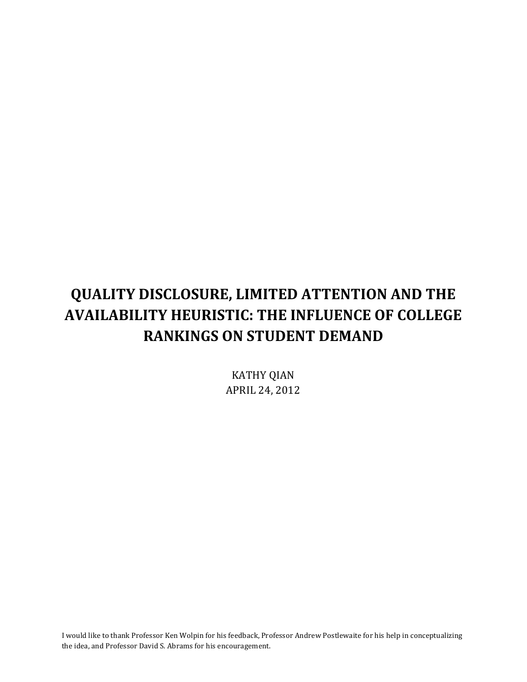# **QUALITY DISCLOSURE, LIMITED ATTENTION AND THE AVAILABILITY HEURISTIC: THE INFLUENCE OF COLLEGE RANKINGS ON STUDENT DEMAND**

**KATHY QIAN** APRIL 24, 2012

I would like to thank Professor Ken Wolpin for his feedback, Professor Andrew Postlewaite for his help in conceptualizing the idea, and Professor David S. Abrams for his encouragement.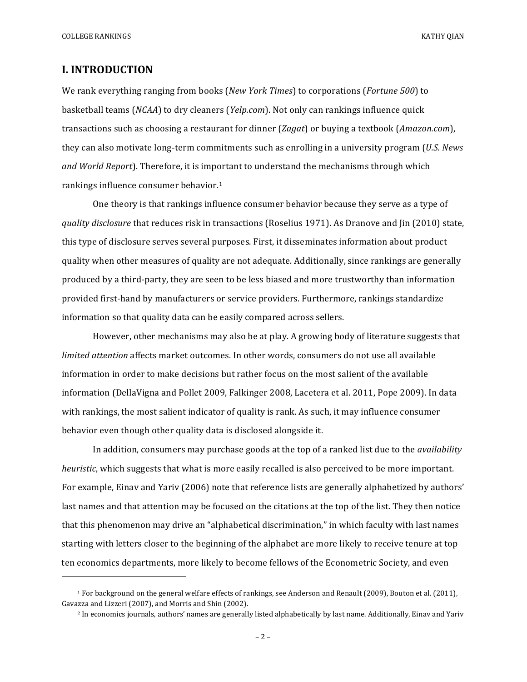COLLEGE RANKINGS KATHY OLAN

## **I. INTRODUCTION**

 

We rank everything ranging from books (*New York Times*) to corporations (*Fortune* 500) to basketball teams (*NCAA*) to dry cleaners (*Yelp.com*). Not only can rankings influence quick transactions such as choosing a restaurant for dinner (*Zagat*) or buying a textbook (*Amazon.com*), they can also motivate long-term commitments such as enrolling in a university program (*U.S. News* and World Report). Therefore, it is important to understand the mechanisms through which rankings influence consumer behavior.<sup>1</sup>

One theory is that rankings influence consumer behavior because they serve as a type of *quality disclosure* that reduces risk in transactions (Roselius 1971). As Dranove and Jin (2010) state, this type of disclosure serves several purposes. First, it disseminates information about product quality when other measures of quality are not adequate. Additionally, since rankings are generally produced by a third-party, they are seen to be less biased and more trustworthy than information provided first-hand by manufacturers or service providers. Furthermore, rankings standardize information so that quality data can be easily compared across sellers.

However, other mechanisms may also be at play. A growing body of literature suggests that *limited* attention affects market outcomes. In other words, consumers do not use all available information in order to make decisions but rather focus on the most salient of the available information (DellaVigna and Pollet 2009, Falkinger 2008, Lacetera et al. 2011, Pope 2009). In data with rankings, the most salient indicator of quality is rank. As such, it may influence consumer behavior even though other quality data is disclosed alongside it.

In addition, consumers may purchase goods at the top of a ranked list due to the *availability heuristic*, which suggests that what is more easily recalled is also perceived to be more important. For example, Einav and Yariv (2006) note that reference lists are generally alphabetized by authors' last names and that attention may be focused on the citations at the top of the list. They then notice that this phenomenon may drive an "alphabetical discrimination," in which faculty with last names starting with letters closer to the beginning of the alphabet are more likely to receive tenure at top ten economics departments, more likely to become fellows of the Econometric Society, and even

<sup>&</sup>lt;sup>1</sup> For background on the general welfare effects of rankings, see Anderson and Renault (2009), Bouton et al. (2011), Gavazza and Lizzeri (2007), and Morris and Shin (2002).

<sup>&</sup>lt;sup>2</sup> In economics journals, authors' names are generally listed alphabetically by last name. Additionally, Einav and Yariv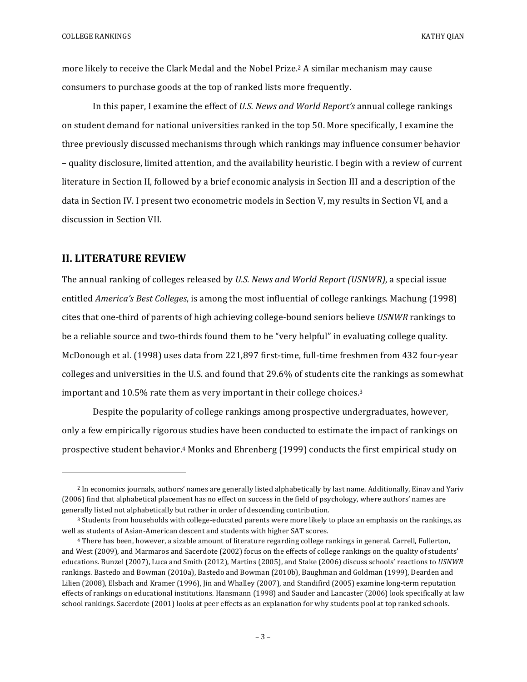more likely to receive the Clark Medal and the Nobel Prize.<sup>2</sup> A similar mechanism may cause consumers to purchase goods at the top of ranked lists more frequently.

In this paper, I examine the effect of *U.S. News and World Report's* annual college rankings on student demand for national universities ranked in the top 50. More specifically, I examine the three previously discussed mechanisms through which rankings may influence consumer behavior – quality disclosure, limited attention, and the availability heuristic. I begin with a review of current literature in Section II, followed by a brief economic analysis in Section III and a description of the data in Section IV. I present two econometric models in Section V, my results in Section VI, and a discussion in Section VII.

#### **II. LITERATURE REVIEW**

 

The annual ranking of colleges released by *U.S. News and World Report (USNWR)*, a special issue entitled *America's Best Colleges*, is among the most influential of college rankings. Machung (1998) cites that one-third of parents of high achieving college-bound seniors believe *USNWR* rankings to be a reliable source and two-thirds found them to be "very helpful" in evaluating college quality. McDonough et al. (1998) uses data from 221,897 first-time, full-time freshmen from 432 four-year colleges and universities in the U.S. and found that 29.6% of students cite the rankings as somewhat important and  $10.5\%$  rate them as very important in their college choices.<sup>3</sup>

Despite the popularity of college rankings among prospective undergraduates, however, only a few empirically rigorous studies have been conducted to estimate the impact of rankings on prospective student behavior.<sup>4</sup> Monks and Ehrenberg (1999) conducts the first empirical study on

<sup>&</sup>lt;sup>2</sup> In economics journals, authors' names are generally listed alphabetically by last name. Additionally, Einav and Yariv (2006) find that alphabetical placement has no effect on success in the field of psychology, where authors' names are generally listed not alphabetically but rather in order of descending contribution.

<sup>&</sup>lt;sup>3</sup> Students from households with college-educated parents were more likely to place an emphasis on the rankings, as well as students of Asian-American descent and students with higher SAT scores.

<sup>&</sup>lt;sup>4</sup> There has been, however, a sizable amount of literature regarding college rankings in general. Carrell, Fullerton, and West (2009), and Marmaros and Sacerdote (2002) focus on the effects of college rankings on the quality of students' educations. Bunzel (2007), Luca and Smith (2012), Martins (2005), and Stake (2006) discuss schools' reactions to USNWR rankings. Bastedo and Bowman (2010a), Bastedo and Bowman (2010b), Baughman and Goldman (1999), Dearden and Lilien (2008), Elsbach and Kramer (1996), Jin and Whalley (2007), and Standifird (2005) examine long-term reputation effects of rankings on educational institutions. Hansmann  $(1998)$  and Sauder and Lancaster  $(2006)$  look specifically at law school rankings. Sacerdote (2001) looks at peer effects as an explanation for why students pool at top ranked schools.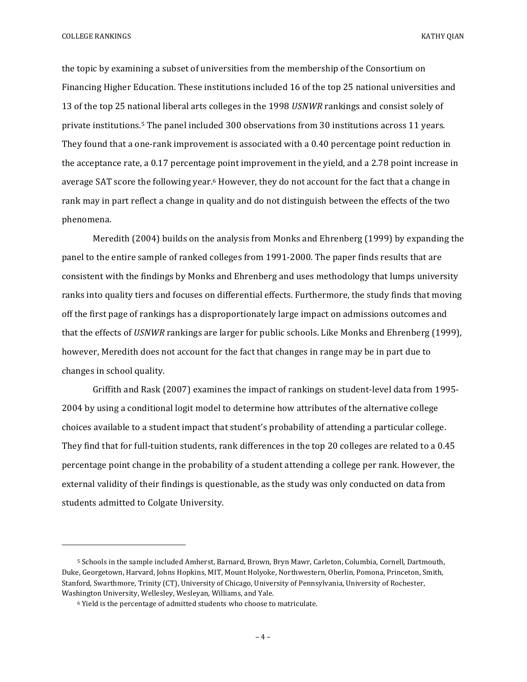COLLEGE RANKINGS KATHY OLAN

the topic by examining a subset of universities from the membership of the Consortium on Financing Higher Education. These institutions included 16 of the top 25 national universities and 13 of the top 25 national liberal arts colleges in the 1998 *USNWR* rankings and consist solely of private institutions.<sup>5</sup> The panel included 300 observations from 30 institutions across 11 years. They found that a one-rank improvement is associated with a 0.40 percentage point reduction in the acceptance rate, a  $0.17$  percentage point improvement in the yield, and a 2.78 point increase in average SAT score the following year.<sup>6</sup> However, they do not account for the fact that a change in rank may in part reflect a change in quality and do not distinguish between the effects of the two phenomena.

Meredith  $(2004)$  builds on the analysis from Monks and Ehrenberg  $(1999)$  by expanding the panel to the entire sample of ranked colleges from 1991-2000. The paper finds results that are consistent with the findings by Monks and Ehrenberg and uses methodology that lumps university ranks into quality tiers and focuses on differential effects. Furthermore, the study finds that moving off the first page of rankings has a disproportionately large impact on admissions outcomes and that the effects of *USNWR* rankings are larger for public schools. Like Monks and Ehrenberg (1999), however, Meredith does not account for the fact that changes in range may be in part due to changes in school quality.

Griffith and Rask (2007) examines the impact of rankings on student-level data from 1995-2004 by using a conditional logit model to determine how attributes of the alternative college choices available to a student impact that student's probability of attending a particular college. They find that for full-tuition students, rank differences in the top 20 colleges are related to a 0.45 percentage point change in the probability of a student attending a college per rank. However, the external validity of their findings is questionable, as the study was only conducted on data from students admitted to Colgate University.

 

<sup>&</sup>lt;sup>5</sup> Schools in the sample included Amherst, Barnard, Brown, Bryn Mawr, Carleton, Columbia, Cornell, Dartmouth, Duke, Georgetown, Harvard, Johns Hopkins, MIT, Mount Holyoke, Northwestern, Oberlin, Pomona, Princeton, Smith, Stanford, Swarthmore, Trinity (CT), University of Chicago, University of Pennsylvania, University of Rochester, Washington University, Wellesley, Wesleyan, Williams, and Yale.

 $6$  Yield is the percentage of admitted students who choose to matriculate.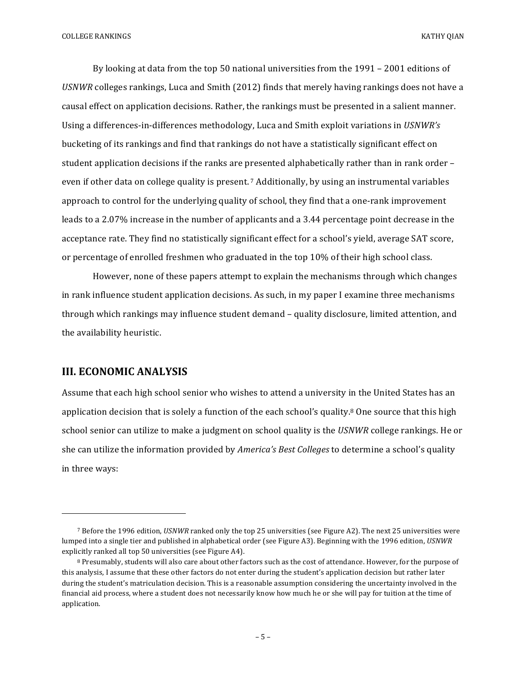By looking at data from the top 50 national universities from the  $1991 - 2001$  editions of USNWR colleges rankings, Luca and Smith (2012) finds that merely having rankings does not have a causal effect on application decisions. Rather, the rankings must be presented in a salient manner. Using a differences-in-differences methodology, Luca and Smith exploit variations in *USNWR's* bucketing of its rankings and find that rankings do not have a statistically significant effect on student application decisions if the ranks are presented alphabetically rather than in rank order  $$ even if other data on college quality is present.<sup>7</sup> Additionally, by using an instrumental variables approach to control for the underlying quality of school, they find that a one-rank improvement leads to a 2.07% increase in the number of applicants and a 3.44 percentage point decrease in the acceptance rate. They find no statistically significant effect for a school's yield, average SAT score, or percentage of enrolled freshmen who graduated in the top 10% of their high school class.

However, none of these papers attempt to explain the mechanisms through which changes in rank influence student application decisions. As such, in my paper I examine three mechanisms through which rankings may influence student demand - quality disclosure, limited attention, and the availability heuristic.

#### **III. ECONOMIC ANALYSIS**

 

Assume that each high school senior who wishes to attend a university in the United States has an application decision that is solely a function of the each school's quality.<sup>8</sup> One source that this high school senior can utilize to make a judgment on school quality is the *USNWR* college rankings. He or she can utilize the information provided by *America's Best Colleges* to determine a school's quality in three ways:

<sup>7</sup> Before the 1996 edition, *USNWR* ranked only the top 25 universities (see Figure A2). The next 25 universities were lumped into a single tier and published in alphabetical order (see Figure A3). Beginning with the 1996 edition, *USNWR* explicitly ranked all top 50 universities (see Figure A4).

<sup>8</sup> Presumably, students will also care about other factors such as the cost of attendance. However, for the purpose of this analysis, I assume that these other factors do not enter during the student's application decision but rather later during the student's matriculation decision. This is a reasonable assumption considering the uncertainty involved in the financial aid process, where a student does not necessarily know how much he or she will pay for tuition at the time of application.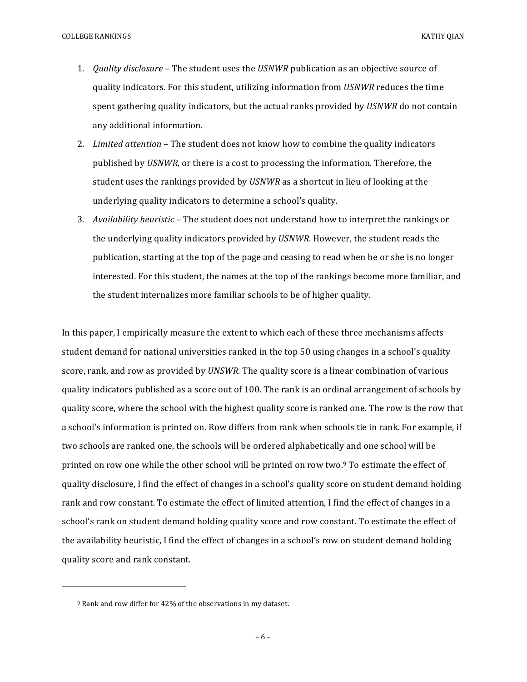- 1. *Quality disclosure* The student uses the *USNWR* publication as an objective source of quality indicators. For this student, utilizing information from *USNWR* reduces the time spent gathering quality indicators, but the actual ranks provided by *USNWR* do not contain any additional information.
- 2. *Limited attention* The student does not know how to combine the quality indicators published by *USNWR*, or there is a cost to processing the information. Therefore, the student uses the rankings provided by *USNWR* as a shortcut in lieu of looking at the underlying quality indicators to determine a school's quality.
- 3. *Availability heuristic* The student does not understand how to interpret the rankings or the underlying quality indicators provided by *USNWR*. However, the student reads the publication, starting at the top of the page and ceasing to read when he or she is no longer interested. For this student, the names at the top of the rankings become more familiar, and the student internalizes more familiar schools to be of higher quality.

In this paper, I empirically measure the extent to which each of these three mechanisms affects student demand for national universities ranked in the top 50 using changes in a school's quality score, rank, and row as provided by *UNSWR*. The quality score is a linear combination of various quality indicators published as a score out of 100. The rank is an ordinal arrangement of schools by quality score, where the school with the highest quality score is ranked one. The row is the row that a school's information is printed on. Row differs from rank when schools tie in rank. For example, if two schools are ranked one, the schools will be ordered alphabetically and one school will be printed on row one while the other school will be printed on row two.9 To estimate the effect of quality disclosure, I find the effect of changes in a school's quality score on student demand holding rank and row constant. To estimate the effect of limited attention, I find the effect of changes in a school's rank on student demand holding quality score and row constant. To estimate the effect of the availability heuristic, I find the effect of changes in a school's row on student demand holding quality score and rank constant.

<u> 1989 - Johann Stein, marwolaethau a bh</u>

<sup>&</sup>lt;sup>9</sup> Rank and row differ for 42% of the observations in my dataset.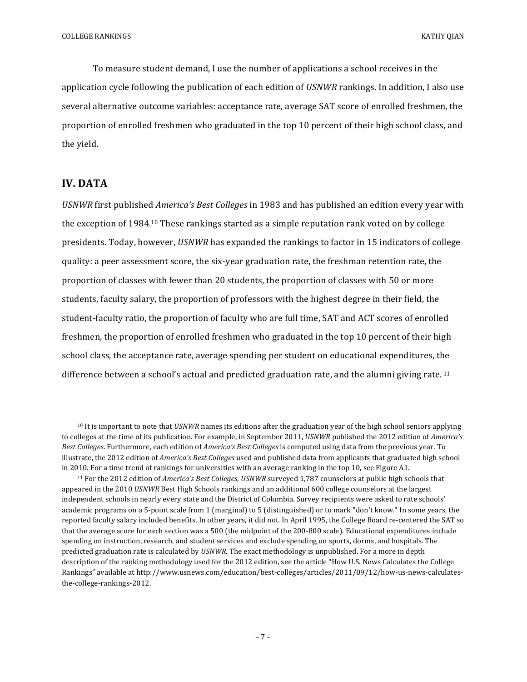To measure student demand, I use the number of applications a school receives in the application cycle following the publication of each edition of *USNWR* rankings. In addition, I also use several alternative outcome variables: acceptance rate, average SAT score of enrolled freshmen, the proportion of enrolled freshmen who graduated in the top 10 percent of their high school class, and the yield.

#### **IV.** DATA

 

*USNWR* first published *America's Best Colleges* in 1983 and has published an edition every year with the exception of 1984.<sup>10</sup> These rankings started as a simple reputation rank voted on by college presidents. Today, however, *USNWR* has expanded the rankings to factor in 15 indicators of college quality: a peer assessment score, the six-year graduation rate, the freshman retention rate, the proportion of classes with fewer than 20 students, the proportion of classes with 50 or more students, faculty salary, the proportion of professors with the highest degree in their field, the student-faculty ratio, the proportion of faculty who are full time, SAT and ACT scores of enrolled freshmen, the proportion of enrolled freshmen who graduated in the top 10 percent of their high school class, the acceptance rate, average spending per student on educational expenditures, the difference between a school's actual and predicted graduation rate, and the alumni giving rate.  $11$ 

<sup>&</sup>lt;sup>10</sup> It is important to note that *USNWR* names its editions after the graduation year of the high school seniors applying to colleges at the time of its publication. For example, in September 2011, *USNWR* published the 2012 edition of *America's Best Colleges*. Furthermore, each edition of *America's Best Colleges* is computed using data from the previous year. To illustrate, the 2012 edition of *America's Best Colleges* used and published data from applicants that graduated high school in 2010. For a time trend of rankings for universities with an average ranking in the top 10, see Figure A1.

<sup>&</sup>lt;sup>11</sup> For the 2012 edition of *America's Best Colleges, USNWR* surveyed 1,787 counselors at public high schools that appeared in the 2010 *USNWR* Best High Schools rankings and an additional 600 college counselors at the largest independent schools in nearly every state and the District of Columbia. Survey recipients were asked to rate schools' academic programs on a 5-point scale from 1 (marginal) to 5 (distinguished) or to mark "don't know." In some years, the reported faculty salary included benefits. In other years, it did not. In April 1995, the College Board re-centered the SAT so that the average score for each section was a 500 (the midpoint of the 200-800 scale). Educational expenditures include spending on instruction, research, and student services and exclude spending on sports, dorms, and hospitals. The predicted graduation rate is calculated by *USNWR*. The exact methodology is unpublished. For a more in depth description of the ranking methodology used for the 2012 edition, see the article "How U.S. News Calculates the College Rankings" available at http://www.usnews.com/education/best-colleges/articles/2011/09/12/how-us-news-calculatesthe-college-rankings-2012.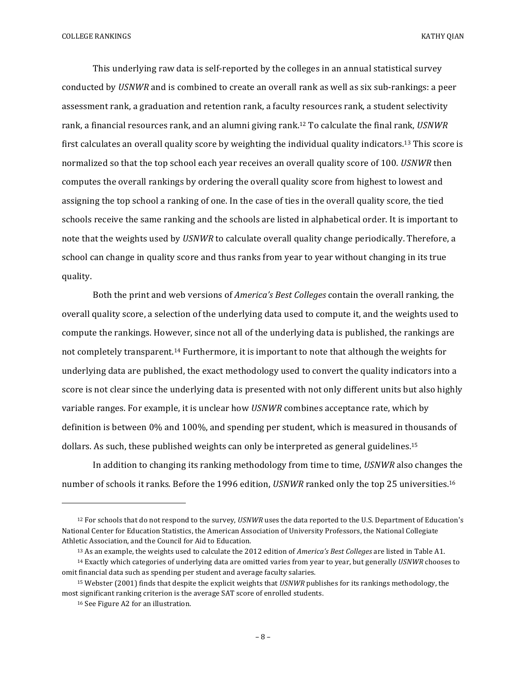This underlying raw data is self-reported by the colleges in an annual statistical survey conducted by *USNWR* and is combined to create an overall rank as well as six sub-rankings: a peer assessment rank, a graduation and retention rank, a faculty resources rank, a student selectivity rank, a financial resources rank, and an alumni giving rank.<sup>12</sup> To calculate the final rank, *USNWR* first calculates an overall quality score by weighting the individual quality indicators.<sup>13</sup> This score is normalized so that the top school each year receives an overall quality score of 100. *USNWR* then computes the overall rankings by ordering the overall quality score from highest to lowest and assigning the top school a ranking of one. In the case of ties in the overall quality score, the tied schools receive the same ranking and the schools are listed in alphabetical order. It is important to note that the weights used by *USNWR* to calculate overall quality change periodically. Therefore, a school can change in quality score and thus ranks from year to year without changing in its true quality.

Both the print and web versions of *America's Best Colleges* contain the overall ranking, the overall quality score, a selection of the underlying data used to compute it, and the weights used to compute the rankings. However, since not all of the underlying data is published, the rankings are not completely transparent.<sup>14</sup> Furthermore, it is important to note that although the weights for underlying data are published, the exact methodology used to convert the quality indicators into a score is not clear since the underlying data is presented with not only different units but also highly variable ranges. For example, it is unclear how *USNWR* combines acceptance rate, which by definition is between  $0\%$  and  $100\%$ , and spending per student, which is measured in thousands of dollars. As such, these published weights can only be interpreted as general guidelines.<sup>15</sup>

In addition to changing its ranking methodology from time to time, *USNWR* also changes the number of schools it ranks. Before the 1996 edition, *USNWR* ranked only the top 25 universities.<sup>16</sup>

<u> 1989 - Johann Stein, marwolaethau a bh</u>

<sup>&</sup>lt;sup>12</sup> For schools that do not respond to the survey, *USNWR* uses the data reported to the U.S. Department of Education's National Center for Education Statistics, the American Association of University Professors, the National Collegiate Athletic Association, and the Council for Aid to Education.

<sup>13</sup> As an example, the weights used to calculate the 2012 edition of *America's Best Colleges* are listed in Table A1.

<sup>&</sup>lt;sup>14</sup> Exactly which categories of underlying data are omitted varies from year to year, but generally *USNWR* chooses to omit financial data such as spending per student and average faculty salaries.

<sup>&</sup>lt;sup>15</sup> Webster (2001) finds that despite the explicit weights that *USNWR* publishes for its rankings methodology, the most significant ranking criterion is the average SAT score of enrolled students.

<sup>16</sup> See Figure A2 for an illustration.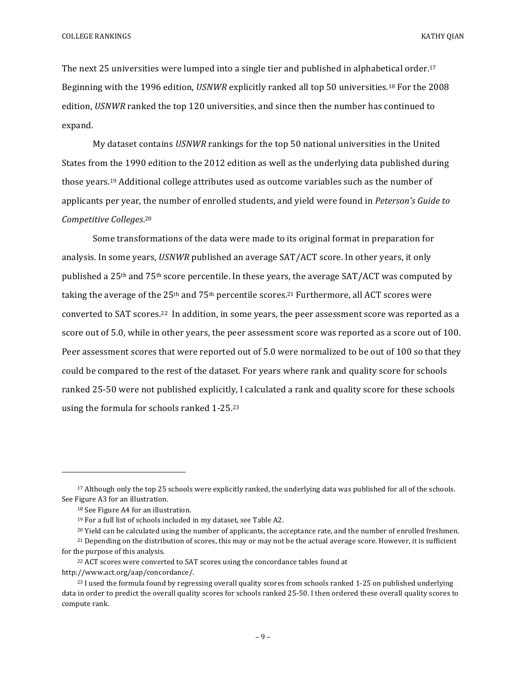The next 25 universities were lumped into a single tier and published in alphabetical order.<sup>17</sup> Beginning with the 1996 edition, *USNWR* explicitly ranked all top 50 universities.<sup>18</sup> For the 2008 edition, *USNWR* ranked the top 120 universities, and since then the number has continued to expand.

My dataset contains *USNWR* rankings for the top 50 national universities in the United States from the 1990 edition to the 2012 edition as well as the underlying data published during those years.<sup>19</sup> Additional college attributes used as outcome variables such as the number of applicants per year, the number of enrolled students, and yield were found in *Peterson's Guide to Competitive Colleges*. 20

Some transformations of the data were made to its original format in preparation for analysis. In some years, *USNWR* published an average SAT/ACT score. In other years, it only published a 25<sup>th</sup> and 75<sup>th</sup> score percentile. In these years, the average SAT/ACT was computed by taking the average of the  $25<sup>th</sup>$  and  $75<sup>th</sup>$  percentile scores.<sup>21</sup> Furthermore, all ACT scores were converted to SAT scores.<sup>22</sup> In addition, in some years, the peer assessment score was reported as a score out of 5.0, while in other years, the peer assessment score was reported as a score out of 100. Peer assessment scores that were reported out of 5.0 were normalized to be out of 100 so that they could be compared to the rest of the dataset. For years where rank and quality score for schools ranked 25-50 were not published explicitly, I calculated a rank and quality score for these schools using the formula for schools ranked  $1-25.23$ 

 

<sup>&</sup>lt;sup>17</sup> Although only the top 25 schools were explicitly ranked, the underlying data was published for all of the schools. See Figure A3 for an illustration.

<sup>&</sup>lt;sup>18</sup> See Figure A4 for an illustration.

<sup>&</sup>lt;sup>19</sup> For a full list of schools included in my dataset, see Table A2.

<sup>&</sup>lt;sup>20</sup> Yield can be calculated using the number of applicants, the acceptance rate, and the number of enrolled freshmen.

 $21$  Depending on the distribution of scores, this may or may not be the actual average score. However, it is sufficient for the purpose of this analysis.

<sup>&</sup>lt;sup>22</sup> ACT scores were converted to SAT scores using the concordance tables found at http://www.act.org/aap/concordance/. 

 $^{23}$  I used the formula found by regressing overall quality scores from schools ranked 1-25 on published underlying data in order to predict the overall quality scores for schools ranked 25-50. I then ordered these overall quality scores to compute rank.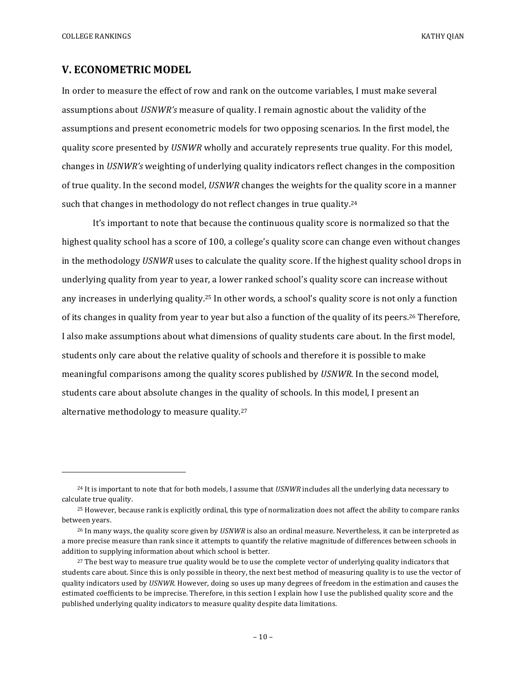COLLEGE RANKINGS KATHY OLAN

#### **V. ECONOMETRIC MODEL**

 

In order to measure the effect of row and rank on the outcome variables, I must make several assumptions about *USNWR's* measure of quality. I remain agnostic about the validity of the assumptions and present econometric models for two opposing scenarios. In the first model, the quality score presented by *USNWR* wholly and accurately represents true quality. For this model, changes in *USNWR's* weighting of underlying quality indicators reflect changes in the composition of true quality. In the second model, *USNWR* changes the weights for the quality score in a manner such that changes in methodology do not reflect changes in true quality.<sup>24</sup>

It's important to note that because the continuous quality score is normalized so that the highest quality school has a score of 100, a college's quality score can change even without changes in the methodology *USNWR* uses to calculate the quality score. If the highest quality school drops in underlying quality from year to year, a lower ranked school's quality score can increase without any increases in underlying quality.<sup>25</sup> In other words, a school's quality score is not only a function of its changes in quality from year to year but also a function of the quality of its peers.<sup>26</sup> Therefore, I also make assumptions about what dimensions of quality students care about. In the first model, students only care about the relative quality of schools and therefore it is possible to make meaningful comparisons among the quality scores published by *USNWR*. In the second model, students care about absolute changes in the quality of schools. In this model, I present an alternative methodology to measure quality.<sup>27</sup>

<sup>&</sup>lt;sup>24</sup> It is important to note that for both models, I assume that *USNWR* includes all the underlying data necessary to calculate true quality.

 $25$  However, because rank is explicitly ordinal, this type of normalization does not affect the ability to compare ranks between years.

<sup>&</sup>lt;sup>26</sup> In many ways, the quality score given by *USNWR* is also an ordinal measure. Nevertheless, it can be interpreted as a more precise measure than rank since it attempts to quantify the relative magnitude of differences between schools in addition to supplying information about which school is better.

<sup>&</sup>lt;sup>27</sup> The best way to measure true quality would be to use the complete vector of underlying quality indicators that students care about. Since this is only possible in theory, the next best method of measuring quality is to use the vector of quality indicators used by *USNWR*. However, doing so uses up many degrees of freedom in the estimation and causes the estimated coefficients to be imprecise. Therefore, in this section I explain how I use the published quality score and the published underlying quality indicators to measure quality despite data limitations.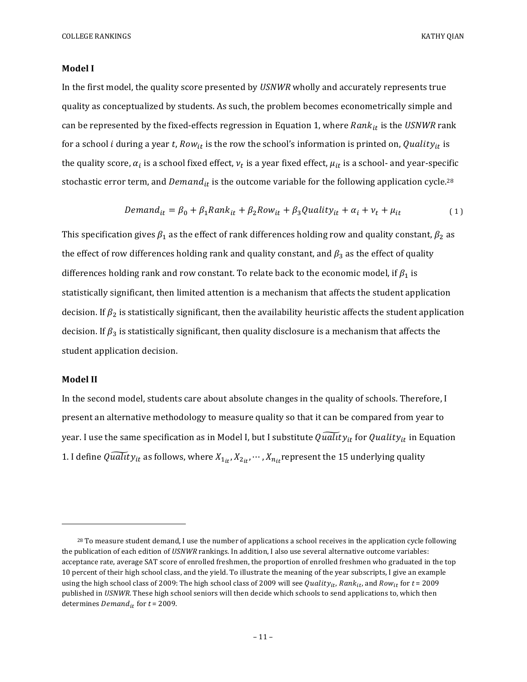#### **Model** I

In the first model, the quality score presented by *USNWR* wholly and accurately represents true quality as conceptualized by students. As such, the problem becomes econometrically simple and can be represented by the fixed-effects regression in Equation 1, where  $Rank_{it}$  is the USNWR rank for a school *i* during a year t,  $Row_{it}$  is the row the school's information is printed on, Quality<sub>it</sub> is the quality score,  $\alpha_i$  is a school fixed effect,  $\nu_t$  is a year fixed effect,  $\mu_{it}$  is a school- and year-specific stochastic error term, and  $Demand_{it}$  is the outcome variable for the following application cycle.<sup>28</sup>

$$
Demand_{it} = \beta_0 + \beta_1 Rank_{it} + \beta_2 Row_{it} + \beta_3 Quality_{it} + \alpha_i + \nu_t + \mu_{it}
$$
 (1)

This specification gives  $\beta_1$  as the effect of rank differences holding row and quality constant,  $\beta_2$  as the effect of row differences holding rank and quality constant, and  $\beta_3$  as the effect of quality differences holding rank and row constant. To relate back to the economic model, if  $\beta_1$  is statistically significant, then limited attention is a mechanism that affects the student application decision. If  $\beta_2$  is statistically significant, then the availability heuristic affects the student application decision. If  $\beta_3$  is statistically significant, then quality disclosure is a mechanism that affects the student application decision.

#### **Model II**

 

In the second model, students care about absolute changes in the quality of schools. Therefore, I present an alternative methodology to measure quality so that it can be compared from year to year. I use the same specification as in Model I, but I substitute  $\widetilde{Quality}_{it}$  for Quality<sub>it</sub> in Equation 1. I define  $\overline{Quality}_{it}$  as follows, where  $X_{1it}$ ,  $X_{2it}$ ,  $\cdots$  ,  $X_{nit}$  represent the 15 underlying quality

 $^{28}$  To measure student demand, I use the number of applications a school receives in the application cycle following the publication of each edition of *USNWR* rankings. In addition, I also use several alternative outcome variables: acceptance rate, average SAT score of enrolled freshmen, the proportion of enrolled freshmen who graduated in the top 10 percent of their high school class, and the yield. To illustrate the meaning of the year subscripts, I give an example using the high school class of 2009: The high school class of 2009 will see Quality<sub>it</sub>, Rank<sub>it</sub>, and Row<sub>it</sub> for  $t = 2009$ published in *USNWR*. These high school seniors will then decide which schools to send applications to, which then determines  $\v{Demand}_{it}$  for  $t = 2009$ .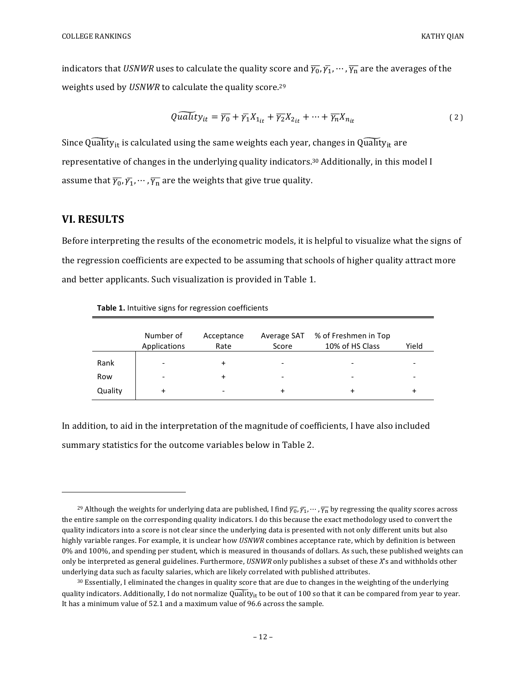indicators that *USNWR* uses to calculate the quality score and  $\overline{\gamma_0}$ ,  $\overline{\gamma_1}$ ,  $\cdots$ ,  $\overline{\gamma_n}$  are the averages of the weights used by *USNWR* to calculate the quality score.<sup>29</sup>

$$
Quality_{it} = \overline{\gamma_0} + \overline{\gamma_1} X_{1_{it}} + \overline{\gamma_2} X_{2_{it}} + \dots + \overline{\gamma_n} X_{n_{it}}
$$
 (2)

Since Quality<sub>it</sub> is calculated using the same weights each year, changes in Quality<sub>it</sub> are representative of changes in the underlying quality indicators.<sup>30</sup> Additionally, in this model I assume that  $\overline{\gamma_0}, \overline{\gamma_1}, \cdots, \overline{\gamma_n}$  are the weights that give true quality.

## **VI. RESULTS**

 

Before interpreting the results of the econometric models, it is helpful to visualize what the signs of the regression coefficients are expected to be assuming that schools of higher quality attract more and better applicants. Such visualization is provided in Table 1.

|         | Number of<br>Applications | Acceptance<br>Rate       | Average SAT<br>Score | % of Freshmen in Top<br>10% of HS Class | Yield                    |
|---------|---------------------------|--------------------------|----------------------|-----------------------------------------|--------------------------|
| Rank    | $\qquad \qquad$           | +                        |                      |                                         | $\overline{\phantom{0}}$ |
| Row     | $\qquad \qquad$           | $\ddot{}$                | $\qquad \qquad$      | -                                       | $\overline{\phantom{a}}$ |
| Quality | $\ddot{}$                 | $\overline{\phantom{0}}$ | +                    | ٠                                       | +                        |

Table 1. Intuitive signs for regression coefficients

In addition, to aid in the interpretation of the magnitude of coefficients, I have also included summary statistics for the outcome variables below in Table 2.

<sup>&</sup>lt;sup>29</sup> Although the weights for underlying data are published, I find  $\overline{\gamma_0}, \overline{\gamma_1}, ..., \overline{\gamma_n}$  by regressing the quality scores across the entire sample on the corresponding quality indicators. I do this because the exact methodology used to convert the quality indicators into a score is not clear since the underlying data is presented with not only different units but also highly variable ranges. For example, it is unclear how *USNWR* combines acceptance rate, which by definition is between 0% and 100%, and spending per student, which is measured in thousands of dollars. As such, these published weights can only be interpreted as general guidelines. Furthermore, *USNWR* only publishes a subset of these *X*'s and withholds other underlying data such as faculty salaries, which are likely correlated with published attributes.

<sup>30</sup> Essentially, I eliminated the changes in quality score that are due to changes in the weighting of the underlying quality indicators. Additionally, I do not normalize  $\widehat{Qualty}_{it}$  to be out of 100 so that it can be compared from year to year. It has a minimum value of 52.1 and a maximum value of 96.6 across the sample.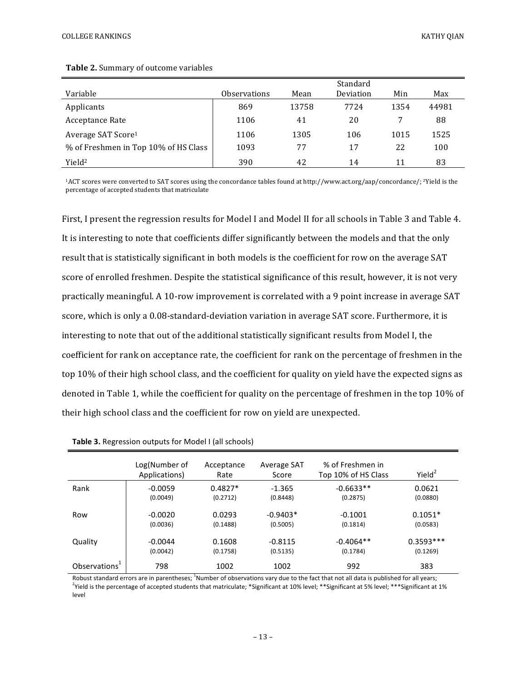|                                      |                     |       | Standard  |      |       |
|--------------------------------------|---------------------|-------|-----------|------|-------|
| Variable                             | <b>Observations</b> | Mean  | Deviation | Min  | Max   |
| Applicants                           | 869                 | 13758 | 7724      | 1354 | 44981 |
| Acceptance Rate                      | 1106                | 41    | 20        |      | 88    |
| Average SAT Score <sup>1</sup>       | 1106                | 1305  | 106       | 1015 | 1525  |
| % of Freshmen in Top 10% of HS Class | 1093                | 77    | 17        | 22   | 100   |
| Yield <sup>2</sup>                   | 390                 | 42    | 14        | 11   | 83    |

#### Table 2. Summary of outcome variables

<sup>1</sup>ACT scores were converted to SAT scores using the concordance tables found at http://www.act.org/aap/concordance/; <sup>2</sup>Yield is the percentage of accepted students that matriculate

First, I present the regression results for Model I and Model II for all schools in Table 3 and Table 4. It is interesting to note that coefficients differ significantly between the models and that the only result that is statistically significant in both models is the coefficient for row on the average SAT score of enrolled freshmen. Despite the statistical significance of this result, however, it is not very practically meaningful. A 10-row improvement is correlated with a 9 point increase in average SAT score, which is only a 0.08-standard-deviation variation in average SAT score. Furthermore, it is interesting to note that out of the additional statistically significant results from Model I, the coefficient for rank on acceptance rate, the coefficient for rank on the percentage of freshmen in the top 10% of their high school class, and the coefficient for quality on yield have the expected signs as denoted in Table 1, while the coefficient for quality on the percentage of freshmen in the top 10% of their high school class and the coefficient for row on yield are unexpected.

|                           | Log(Number of<br>Applications) | Acceptance<br>Rate    | Average SAT<br>Score  | % of Freshmen in<br>Top 10% of HS Class | Yield <sup>2</sup>      |
|---------------------------|--------------------------------|-----------------------|-----------------------|-----------------------------------------|-------------------------|
| Rank                      | $-0.0059$<br>(0.0049)          | $0.4827*$<br>(0.2712) | $-1.365$<br>(0.8448)  | $-0.6633**$<br>(0.2875)                 | 0.0621<br>(0.0880)      |
| Row                       | $-0.0020$                      | 0.0293                | $-0.9403*$            | $-0.1001$                               | $0.1051*$               |
|                           | (0.0036)                       | (0.1488)              | (0.5005)              | (0.1814)                                | (0.0583)                |
| Quality                   | $-0.0044$<br>(0.0042)          | 0.1608<br>(0.1758)    | $-0.8115$<br>(0.5135) | $-0.4064**$<br>(0.1784)                 | $0.3593***$<br>(0.1269) |
| Observations <sup>1</sup> | 798                            | 1002                  | 1002                  | 992                                     | 383                     |

#### **Table 3.** Regression outputs for Model I (all schools)

Robust standard errors are in parentheses; <sup>1</sup>Number of observations vary due to the fact that not all data is published for all years;  $^2$ Yield is the percentage of accepted students that matriculate; \*Significant at 10% level; \*\*Significant at 5% level; \*\*\*Significant at 1% level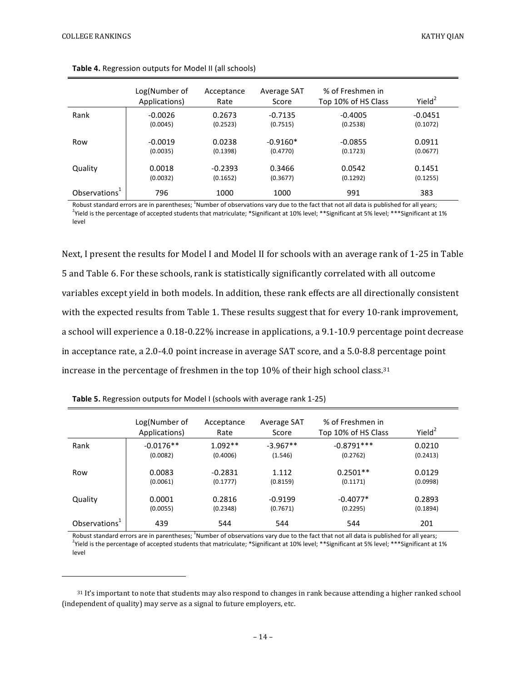|                           | Log(Number of<br>Applications) | Acceptance<br>Rate | Average SAT<br>Score | % of Freshmen in<br>Top 10% of HS Class | Yield <sup>2</sup> |
|---------------------------|--------------------------------|--------------------|----------------------|-----------------------------------------|--------------------|
| Rank                      | $-0.0026$                      | 0.2673             | $-0.7135$            | $-0.4005$                               | $-0.0451$          |
|                           | (0.0045)                       | (0.2523)           | (0.7515)             | (0.2538)                                | (0.1072)           |
| Row                       | $-0.0019$                      | 0.0238             | $-0.9160*$           | $-0.0855$                               | 0.0911             |
|                           | (0.0035)                       | (0.1398)           | (0.4770)             | (0.1723)                                | (0.0677)           |
| Quality                   | 0.0018                         | $-0.2393$          | 0.3466               | 0.0542                                  | 0.1451             |
|                           | (0.0032)                       | (0.1652)           | (0.3677)             | (0.1292)                                | (0.1255)           |
| Observations <sup>1</sup> | 796                            | 1000               | 1000                 | 991                                     | 383                |

**Table 4.** Regression outputs for Model II (all schools)

Robust standard errors are in parentheses; <sup>1</sup>Number of observations vary due to the fact that not all data is published for all years;  $^2$ Yield is the percentage of accepted students that matriculate; \*Significant at 10% level; \*\*Significant at 5% level; \*\*\*Significant at 1% level

Next, I present the results for Model I and Model II for schools with an average rank of 1-25 in Table 5 and Table 6. For these schools, rank is statistically significantly correlated with all outcome variables except yield in both models. In addition, these rank effects are all directionally consistent with the expected results from Table 1. These results suggest that for every 10-rank improvement, a school will experience a 0.18-0.22% increase in applications, a 9.1-10.9 percentage point decrease in acceptance rate, a  $2.0-4.0$  point increase in average SAT score, and a  $5.0-8.8$  percentage point increase in the percentage of freshmen in the top  $10\%$  of their high school class.<sup>31</sup>

|                           | Log(Number of<br>Applications) | Acceptance<br>Rate | Average SAT<br>Score | % of Freshmen in<br>Top 10% of HS Class | Yiel $d^2$ |
|---------------------------|--------------------------------|--------------------|----------------------|-----------------------------------------|------------|
| Rank                      | $-0.0176**$                    | $1.092**$          | $-3.967**$           | $-0.8791***$                            | 0.0210     |
|                           | (0.0082)                       | (0.4006)           | (1.546)              | (0.2762)                                | (0.2413)   |
| Row                       | 0.0083                         | $-0.2831$          | 1.112                | $0.2501**$                              | 0.0129     |
|                           | (0.0061)                       | (0.1777)           | (0.8159)             | (0.1171)                                | (0.0998)   |
| Quality                   | 0.0001                         | 0.2816             | $-0.9199$            | $-0.4077*$                              | 0.2893     |
|                           | (0.0055)                       | (0.2348)           | (0.7671)             | (0.2295)                                | (0.1894)   |
| Observations <sup>1</sup> | 439                            | 544                | 544                  | 544                                     | 201        |

**Table 5.** Regression outputs for Model I (schools with average rank 1-25)

 

Robust standard errors are in parentheses; <sup>1</sup>Number of observations vary due to the fact that not all data is published for all years;  $^2$ Yield is the percentage of accepted students that matriculate; \*Significant at 10% level; \*\*Significant at 5% level; \*\*\*Significant at 1% level

 $31$  It's important to note that students may also respond to changes in rank because attending a higher ranked school (independent of quality) may serve as a signal to future employers, etc.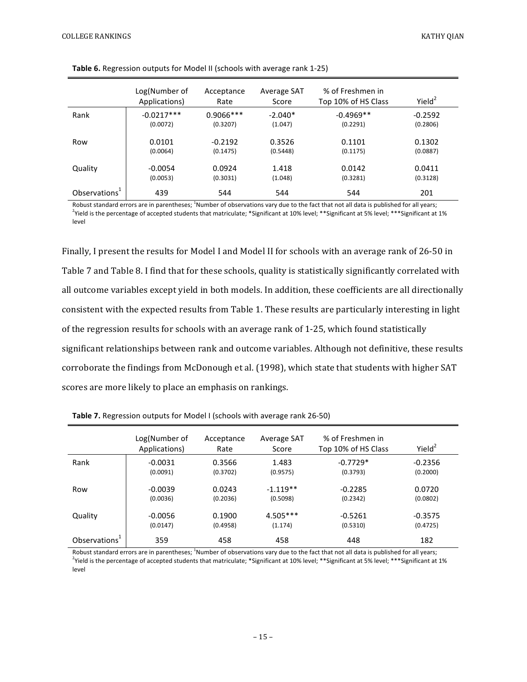|                           | Log(Number of<br>Applications) | Acceptance<br>Rate | Average SAT<br>Score | % of Freshmen in<br>Top 10% of HS Class | Yiel $d^2$ |
|---------------------------|--------------------------------|--------------------|----------------------|-----------------------------------------|------------|
| Rank                      | $-0.0217***$                   | $0.9066$ ***       | $-2.040*$            | $-0.4969**$                             | $-0.2592$  |
|                           | (0.0072)                       | (0.3207)           | (1.047)              | (0.2291)                                | (0.2806)   |
| Row                       | 0.0101                         | $-0.2192$          | 0.3526               | 0.1101                                  | 0.1302     |
|                           | (0.0064)                       | (0.1475)           | (0.5448)             | (0.1175)                                | (0.0887)   |
| Quality                   | $-0.0054$                      | 0.0924             | 1.418                | 0.0142                                  | 0.0411     |
|                           | (0.0053)                       | (0.3031)           | (1.048)              | (0.3281)                                | (0.3128)   |
| Observations <sup>1</sup> | 439                            | 544                | 544                  | 544                                     | 201        |

Robust standard errors are in parentheses; <sup>1</sup>Number of observations vary due to the fact that not all data is published for all years;  $^2$ Yield is the percentage of accepted students that matriculate; \*Significant at 10% level; \*\*Significant at 5% level; \*\*\*Significant at 1% level

Finally, I present the results for Model I and Model II for schools with an average rank of 26-50 in Table 7 and Table 8. I find that for these schools, quality is statistically significantly correlated with all outcome variables except yield in both models. In addition, these coefficients are all directionally consistent with the expected results from Table 1. These results are particularly interesting in light of the regression results for schools with an average rank of  $1-25$ , which found statistically significant relationships between rank and outcome variables. Although not definitive, these results corroborate the findings from McDonough et al. (1998), which state that students with higher SAT scores are more likely to place an emphasis on rankings.

|                           | Log(Number of<br>Applications) | Acceptance<br>Rate | Average SAT<br>Score | % of Freshmen in<br>Top 10% of HS Class | Yield <sup>2</sup> |
|---------------------------|--------------------------------|--------------------|----------------------|-----------------------------------------|--------------------|
| Rank                      | $-0.0031$                      | 0.3566             | 1.483                | $-0.7729*$                              | $-0.2356$          |
|                           | (0.0091)                       | (0.3702)           | (0.9575)             | (0.3793)                                | (0.2000)           |
| Row                       | $-0.0039$                      | 0.0243             | $-1.119**$           | $-0.2285$                               | 0.0720             |
|                           | (0.0036)                       | (0.2036)           | (0.5098)             | (0.2342)                                | (0.0802)           |
| Quality                   | $-0.0056$                      | 0.1900             | $4.505***$           | $-0.5261$                               | $-0.3575$          |
|                           | (0.0147)                       | (0.4958)           | (1.174)              | (0.5310)                                | (0.4725)           |
| Observations <sup>+</sup> | 359                            | 458                | 458                  | 448                                     | 182                |

**Table 7.** Regression outputs for Model I (schools with average rank 26-50)

Robust standard errors are in parentheses; <sup>1</sup>Number of observations vary due to the fact that not all data is published for all years;  $^2$ Yield is the percentage of accepted students that matriculate; \*Significant at 10% level; \*\*Significant at 5% level; \*\*\*Significant at 1% level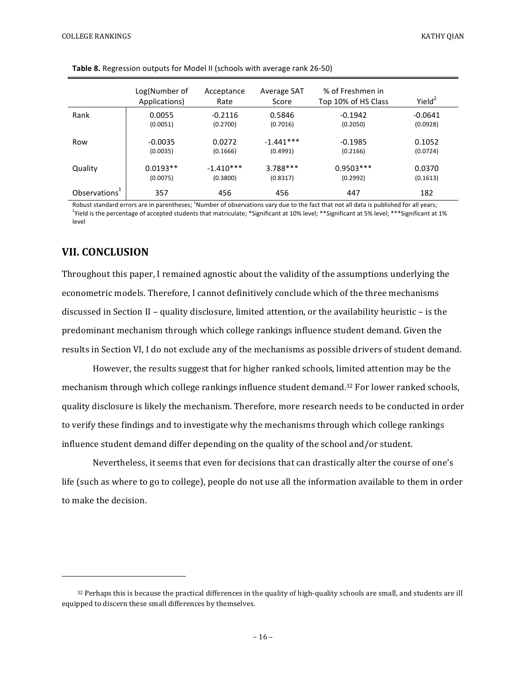|                           | Log(Number of<br>Applications) | Acceptance<br>Rate | Average SAT<br>Score | % of Freshmen in<br>Top 10% of HS Class | Yield <sup>2</sup> |
|---------------------------|--------------------------------|--------------------|----------------------|-----------------------------------------|--------------------|
| Rank                      | 0.0055                         | $-0.2116$          | 0.5846               | $-0.1942$                               | $-0.0641$          |
|                           | (0.0051)                       | (0.2700)           | (0.7016)             | (0.2050)                                | (0.0928)           |
| Row                       | $-0.0035$                      | 0.0272             | $-1.441***$          | $-0.1985$                               | 0.1052             |
|                           | (0.0035)                       | (0.1666)           | (0.4991)             | (0.2166)                                | (0.0724)           |
| Quality                   | $0.0193**$                     | $-1.410***$        | $3.788***$           | $0.9503***$                             | 0.0370             |
|                           | (0.0075)                       | (0.3800)           | (0.8317)             | (0.2992)                                | (0.1613)           |
| Observations <sup>+</sup> | 357                            | 456                | 456                  | 447                                     | 182                |

**Table 8.** Regression outputs for Model II (schools with average rank 26-50)

Robust standard errors are in parentheses; <sup>1</sup>Number of observations vary due to the fact that not all data is published for all years;  $^2$ Yield is the percentage of accepted students that matriculate; \*Significant at 10% level; \*\*Significant at 5% level; \*\*\*Significant at 1% level

## **VII. CONCLUSION**

 

Throughout this paper, I remained agnostic about the validity of the assumptions underlying the econometric models. Therefore, I cannot definitively conclude which of the three mechanisms discussed in Section II – quality disclosure, limited attention, or the availability heuristic – is the predominant mechanism through which college rankings influence student demand. Given the results in Section VI, I do not exclude any of the mechanisms as possible drivers of student demand.

However, the results suggest that for higher ranked schools, limited attention may be the mechanism through which college rankings influence student demand.<sup>32</sup> For lower ranked schools, quality disclosure is likely the mechanism. Therefore, more research needs to be conducted in order to verify these findings and to investigate why the mechanisms through which college rankings influence student demand differ depending on the quality of the school and/or student.

Nevertheless, it seems that even for decisions that can drastically alter the course of one's life (such as where to go to college), people do not use all the information available to them in order to make the decision.

 $32$  Perhaps this is because the practical differences in the quality of high-quality schools are small, and students are ill equipped to discern these small differences by themselves.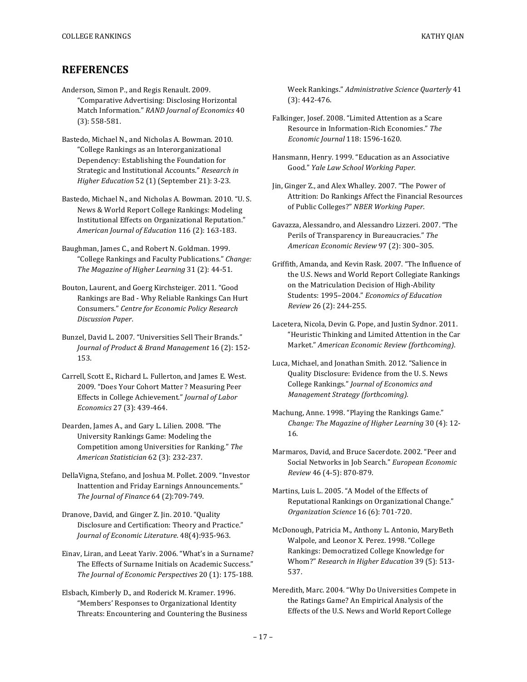## **REFERENCES**

- Anderson, Simon P., and Regis Renault. 2009. "Comparative Advertising: Disclosing Horizontal Match Information." *RAND Journal of Economics* 40  $(3): 558-581.$
- Bastedo, Michael N., and Nicholas A. Bowman. 2010. "College Rankings as an Interorganizational Dependency: Establishing the Foundation for Strategic and Institutional Accounts." Research in *Higher Education* 52 (1) (September 21): 3-23.

Bastedo, Michael N., and Nicholas A. Bowman. 2010. "U. S. News & World Report College Rankings: Modeling Institutional Effects on Organizational Reputation." American Journal of Education 116 (2): 163-183.

Baughman, James C., and Robert N. Goldman. 1999. "College Rankings and Faculty Publications." *Change:* The Magazine of Higher Learning 31 (2): 44-51.

Bouton, Laurent, and Goerg Kirchsteiger. 2011. "Good Rankings are Bad - Why Reliable Rankings Can Hurt Consumers." *Centre for Economic Policy Research Discussion Paper*.

Bunzel, David L. 2007. "Universities Sell Their Brands." *Journal of Product & Brand Management* 16 (2): 152- 153. 

Carrell, Scott E., Richard L. Fullerton, and James E. West. 2009. "Does Your Cohort Matter? Measuring Peer Effects in College Achievement." Journal of Labor *Economics* 27 (3): 439-464.

Dearden, James A., and Gary L. Lilien. 2008. "The University Rankings Game: Modeling the Competition among Universities for Ranking." The *American Statistician* 62 (3): 232-237.

DellaVigna, Stefano, and Joshua M. Pollet. 2009. "Investor Inattention and Friday Earnings Announcements." *The Journal of Finance* 64 (2):709-749.

Dranove, David, and Ginger Z. Jin. 2010. "Quality Disclosure and Certification: Theory and Practice." *Journal of Economic Literature*. 48(4):935-963.

Einav, Liran, and Leeat Yariv. 2006. "What's in a Surname? The Effects of Surname Initials on Academic Success." The *Journal of Economic Perspectives* 20 (1): 175-188.

Elsbach, Kimberly D., and Roderick M. Kramer. 1996. "Members' Responses to Organizational Identity Threats: Encountering and Countering the Business Week Rankings." *Administrative Science Quarterly* 41  $(3): 442 - 476.$ 

- Falkinger, Josef. 2008. "Limited Attention as a Scare Resource in Information-Rich Economies." The *Economic Journal* 118: 1596-1620.
- Hansmann, Henry. 1999. "Education as an Associative Good." *Yale Law School Working Paper*.
- Jin, Ginger Z., and Alex Whalley. 2007. "The Power of Attrition: Do Rankings Affect the Financial Resources of Public Colleges?" NBER Working Paper.
- Gavazza, Alessandro, and Alessandro Lizzeri. 2007. "The Perils of Transparency in Bureaucracies." The *American Economic Review* 97 (2): 300–305.
- Griffith, Amanda, and Kevin Rask. 2007. "The Influence of the U.S. News and World Report Collegiate Rankings on the Matriculation Decision of High-Ability Students: 1995-2004." *Economics of Education Review* 26 (2): 244-255.
- Lacetera, Nicola, Devin G. Pope, and Justin Sydnor. 2011. "Heuristic Thinking and Limited Attention in the Car Market." *American Economic Review (forthcoming)*.
- Luca, Michael, and Jonathan Smith. 2012. "Salience in Quality Disclosure: Evidence from the U.S. News College Rankings." Journal of Economics and *Management Strategy (forthcoming)*.
- Machung, Anne. 1998. "Playing the Rankings Game." *Change: The Magazine of Higher Learning* 30 (4): 12-16.
- Marmaros, David, and Bruce Sacerdote. 2002. "Peer and Social Networks in Job Search." European Economic *Review* 46 (4-5): 870-879.

Martins, Luis L. 2005. "A Model of the Effects of Reputational Rankings on Organizational Change." *Organization Science* 16 (6): 701-720.

McDonough, Patricia M., Anthony L. Antonio, MaryBeth Walpole, and Leonor X. Perez. 1998. "College Rankings: Democratized College Knowledge for Whom?" Research in Higher Education 39 (5): 513-537.

Meredith, Marc. 2004. "Why Do Universities Compete in the Ratings Game? An Empirical Analysis of the Effects of the U.S. News and World Report College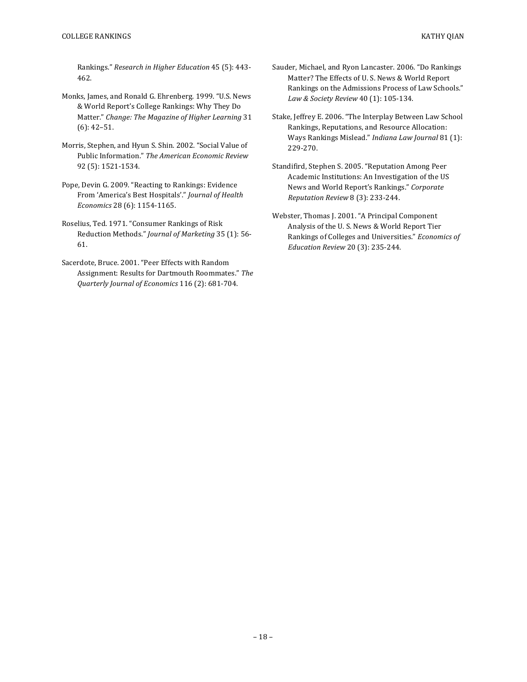Rankings." Research in Higher Education 45 (5): 443-462.

- Monks, James, and Ronald G. Ehrenberg. 1999. "U.S. News & World Report's College Rankings: Why They Do Matter." *Change: The Magazine of Higher Learning* 31  $(6): 42 - 51.$
- Morris, Stephen, and Hyun S. Shin. 2002. "Social Value of Public Information." The American Economic Review 92 (5): 1521-1534.
- Pope, Devin G. 2009. "Reacting to Rankings: Evidence From 'America's Best Hospitals'." Journal of Health *Economics* 28 (6): 1154-1165.
- Roselius, Ted. 1971. "Consumer Rankings of Risk Reduction Methods." *Journal of Marketing* 35 (1): 56-61.
- Sacerdote, Bruce. 2001. "Peer Effects with Random Assignment: Results for Dartmouth Roommates." The *Quarterly Journal of Economics* 116 (2): 681-704.
- Sauder, Michael, and Ryon Lancaster. 2006. "Do Rankings Matter? The Effects of U.S. News & World Report Rankings on the Admissions Process of Law Schools." Law & Society Review 40 (1): 105-134.
- Stake, Jeffrey E. 2006. "The Interplay Between Law School Rankings, Reputations, and Resource Allocation: Ways Rankings Mislead." Indiana Law Journal 81 (1): 229-270.
- Standifird, Stephen S. 2005. "Reputation Among Peer Academic Institutions: An Investigation of the US News and World Report's Rankings." Corporate *Reputation Review* 8 (3): 233-244.
- Webster, Thomas J. 2001. "A Principal Component Analysis of the U.S. News & World Report Tier Rankings of Colleges and Universities." Economics of *Education Review* 20 (3): 235-244.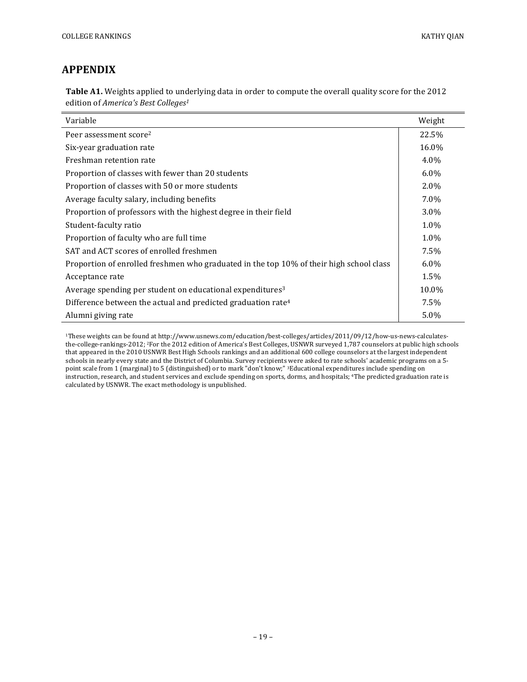# **APPENDIX**

Table A1. Weights applied to underlying data in order to compute the overall quality score for the 2012 edition of *America's Best Colleges<sup>1</sup>* 

| Variable                                                                                | Weight  |
|-----------------------------------------------------------------------------------------|---------|
| Peer assessment score <sup>2</sup>                                                      | 22.5%   |
| Six-year graduation rate                                                                | 16.0%   |
| Freshman retention rate                                                                 | $4.0\%$ |
| Proportion of classes with fewer than 20 students                                       | $6.0\%$ |
| Proportion of classes with 50 or more students                                          | 2.0%    |
| Average faculty salary, including benefits                                              | 7.0%    |
| Proportion of professors with the highest degree in their field                         | $3.0\%$ |
| Student-faculty ratio                                                                   | 1.0%    |
| Proportion of faculty who are full time                                                 | $1.0\%$ |
| SAT and ACT scores of enrolled freshmen                                                 | 7.5%    |
| Proportion of enrolled freshmen who graduated in the top 10% of their high school class | $6.0\%$ |
| Acceptance rate                                                                         | 1.5%    |
| Average spending per student on educational expenditures <sup>3</sup>                   | 10.0%   |
| Difference between the actual and predicted graduation rate <sup>4</sup>                | 7.5%    |
| Alumni giving rate                                                                      | 5.0%    |

<sup>1</sup>These weights can be found at http://www.usnews.com/education/best-colleges/articles/2011/09/12/how-us-news-calculatesthe-college-rankings-2012; <sup>2</sup>For the 2012 edition of America's Best Colleges, USNWR surveyed 1,787 counselors at public high schools that appeared in the 2010 USNWR Best High Schools rankings and an additional 600 college counselors at the largest independent schools in nearly every state and the District of Columbia. Survey recipients were asked to rate schools' academic programs on a 5point scale from 1 (marginal) to 5 (distinguished) or to mark "don't know;" <sup>3</sup>Educational expenditures include spending on instruction, research, and student services and exclude spending on sports, dorms, and hospitals; <sup>4</sup>The predicted graduation rate is instruction, research, and student services and exclude spending on sports, dorms, and h calculated by USNWR. The exact methodology is unpublished.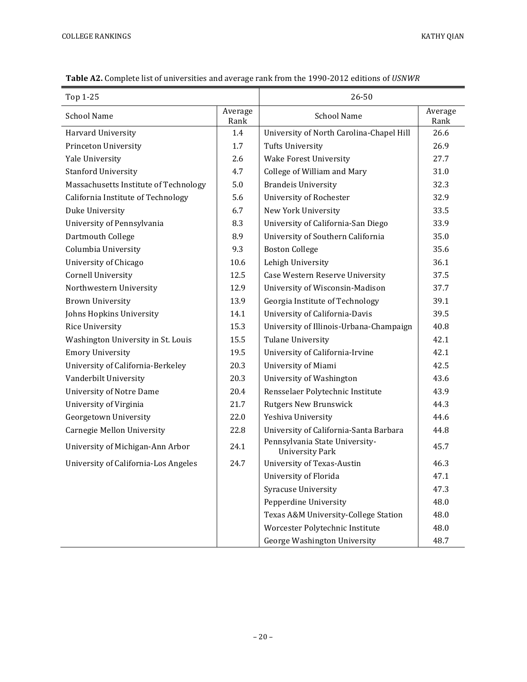| Top 1-25                              |                 | 26-50                                                    |                 |
|---------------------------------------|-----------------|----------------------------------------------------------|-----------------|
| <b>School Name</b>                    | Average<br>Rank | <b>School Name</b>                                       | Average<br>Rank |
| Harvard University                    | 1.4             | University of North Carolina-Chapel Hill                 | 26.6            |
| Princeton University                  | 1.7             | <b>Tufts University</b>                                  | 26.9            |
| Yale University                       | 2.6             | <b>Wake Forest University</b>                            | 27.7            |
| <b>Stanford University</b>            | 4.7             | College of William and Mary                              | 31.0            |
| Massachusetts Institute of Technology | 5.0             | <b>Brandeis University</b>                               | 32.3            |
| California Institute of Technology    | 5.6             | University of Rochester                                  | 32.9            |
| Duke University                       | 6.7             | New York University                                      | 33.5            |
| University of Pennsylvania            | 8.3             | University of California-San Diego                       | 33.9            |
| Dartmouth College                     | 8.9             | University of Southern California                        | 35.0            |
| Columbia University                   | 9.3             | <b>Boston College</b>                                    | 35.6            |
| University of Chicago                 | 10.6            | Lehigh University                                        | 36.1            |
| <b>Cornell University</b>             | 12.5            | Case Western Reserve University                          | 37.5            |
| Northwestern University               | 12.9            | University of Wisconsin-Madison                          | 37.7            |
| <b>Brown University</b>               | 13.9            | Georgia Institute of Technology                          | 39.1            |
| Johns Hopkins University              | 14.1            | University of California-Davis                           | 39.5            |
| Rice University                       | 15.3            | University of Illinois-Urbana-Champaign                  | 40.8            |
| Washington University in St. Louis    | 15.5            | <b>Tulane University</b>                                 | 42.1            |
| <b>Emory University</b>               | 19.5            | University of California-Irvine                          | 42.1            |
| University of California-Berkeley     | 20.3            | University of Miami                                      | 42.5            |
| Vanderbilt University                 | 20.3            | University of Washington                                 | 43.6            |
| <b>University of Notre Dame</b>       | 20.4            | Rensselaer Polytechnic Institute                         | 43.9            |
| University of Virginia                | 21.7            | <b>Rutgers New Brunswick</b>                             | 44.3            |
| Georgetown University                 | 22.0            | Yeshiva University                                       | 44.6            |
| Carnegie Mellon University            | 22.8            | University of California-Santa Barbara                   | 44.8            |
| University of Michigan-Ann Arbor      | 24.1            | Pennsylvania State University-<br><b>University Park</b> | 45.7            |
| University of California-Los Angeles  | 24.7            | University of Texas-Austin                               | 46.3            |
|                                       |                 | University of Florida                                    | 47.1            |
|                                       |                 | Syracuse University                                      | 47.3            |
|                                       |                 | Pepperdine University                                    | 48.0            |
|                                       |                 | Texas A&M University-College Station                     | 48.0            |
|                                       |                 | Worcester Polytechnic Institute                          | 48.0            |
|                                       |                 | George Washington University                             | 48.7            |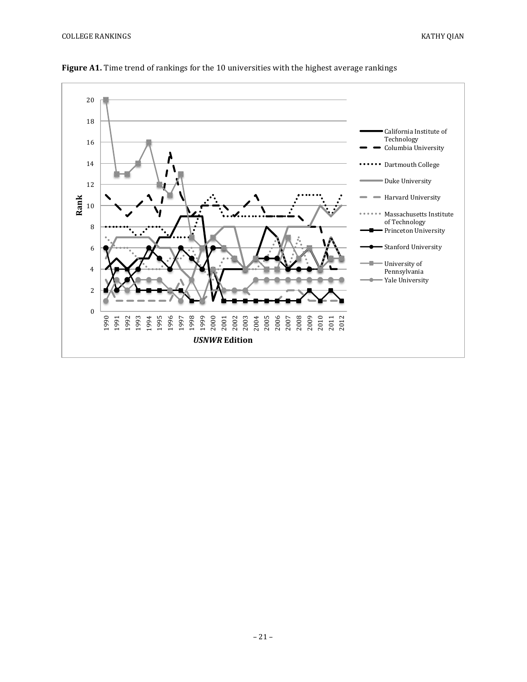– 21 –





Figure A1. Time trend of rankings for the 10 universities with the highest average rankings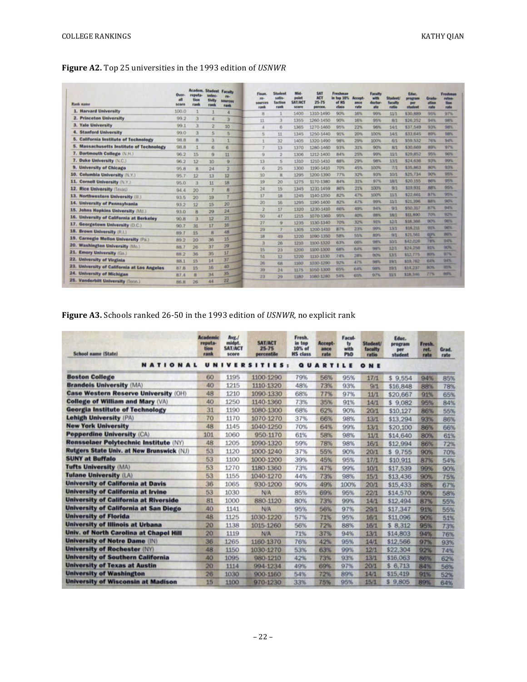|  |  | Figure A2. Top 25 universities in the 1993 edition of USNWR |  |  |  |  |
|--|--|-------------------------------------------------------------|--|--|--|--|
|--|--|-------------------------------------------------------------|--|--|--|--|

| <b>Rank name</b>                               | Over.<br>all<br>score | Academ. Student<br>reputa-<br><b>Tion</b><br>rank | selec-<br>tivity<br>rank | Faculty<br>re-<br>sources<br>rank | <b>Finan</b><br>pg.<br>cources<br>rank | Student<br>salis.<br>faction<br>rank | Mid-<br>point<br><b>SATIACT</b><br>score | <b>SAT</b><br><b>ACT</b><br>25-75<br>регсеп. | Freshman<br>in too 10%<br>of HS<br>class | Accept<br>ance<br>rate | <b>Faculty</b><br>with<br>doctor-<br>ate | <b>Student</b><br>faculty<br>ratio | Educ.<br>ргодтам<br>per<br>student | <b>Crade</b><br>ation<br>rate | Freshman<br>reten-<br>tion<br><b><i>vate</i></b> |
|------------------------------------------------|-----------------------|---------------------------------------------------|--------------------------|-----------------------------------|----------------------------------------|--------------------------------------|------------------------------------------|----------------------------------------------|------------------------------------------|------------------------|------------------------------------------|------------------------------------|------------------------------------|-------------------------------|--------------------------------------------------|
| 1. Harvard University                          | 100.0                 |                                                   |                          |                                   | 8                                      |                                      | 1400                                     | 1310-1490                                    | 90%                                      | 16%                    | 99%                                      | 11/1                               | \$30,889                           | 95%                           | 97%                                              |
| 2. Princeton University                        | 99.2                  |                                                   | л                        |                                   | 11                                     |                                      | 1355                                     | 1260-1450                                    | 90%                                      | 16%                    | 95%                                      | 8/1                                | \$26,252                           | 94%                           | 98%                                              |
| 3. Yale University                             | 99.1                  | з                                                 | $\overline{2}$           | 10                                | 4                                      | 6                                    | 1365                                     | 1270-1460                                    | 95%                                      | 22%                    | 96%                                      | 14/1                               | \$37,549                           | 93%                           | 98%                                              |
| <b>4. Stanford University</b>                  | 99.0                  |                                                   | 5                        | 5                                 | 5                                      | 11                                   | 1345                                     | 1250-1440                                    | 91%                                      | 20%                    | 100%                                     | 14/1                               | \$33,645                           | 89%                           | --<br>98%                                        |
| <b>California Institute of Technology</b>      | 98.8                  | 8                                                 | 3                        |                                   |                                        | 32                                   | 1405                                     | 1320-1490                                    | 98%                                      | 29%                    | 100%                                     | 6/1                                | \$59,532                           | 76%                           | 94%                                              |
| <b>Massachusetts Institute of Technology</b>   | 98.8                  |                                                   | 6                        | 6                                 |                                        | 13                                   | 1370                                     | 1280-1460                                    | 93%                                      | 31%                    | 90%                                      | 8/1                                | \$30,669                           | 89%                           | 97%                                              |
| 7. Dartmouth College (N.H.)                    | 96.2                  | 15                                                | $\Omega$                 | 11                                | G                                      | $\overline{2}$                       | 1306                                     | 1212-1400                                    | 84%                                      | 25%                    | 99%                                      | 11/1                               | \$29,852                           | 95%                           | 96%                                              |
| 7. Duke University (N.C.)                      | 96.2                  | 12                                                | 10                       | 9                                 | 13                                     | 5                                    | 1310                                     | 1210-1410                                    | 88%                                      | 29%                    | 98%                                      | 13/1                               | \$24,636                           | 93%                           | 99%<br>__                                        |
| 9.<br><b>University of Chicago</b>             | 95.8                  | 8                                                 | 24                       | $\overline{2}$                    | 6                                      | 25                                   | 1300                                     | 1190-1410                                    | 70%                                      | 45%                    | 100%                                     | 7/1                                | \$35,863                           | 80%                           | 93%<br>__                                        |
| 10. Columbia University (N.Y.)                 | 95.7                  | 12                                                | 13                       | 12                                | 10                                     | R                                    | 1296                                     | 1200-1390                                    | 77%                                      | 32%                    | 93%                                      | 10/1                               | \$25,734                           | 90%                           | 95%                                              |
| 11. Cornell University (N.Y.)                  | 95.0                  | з                                                 | 11                       | 18                                | 19                                     | 20                                   | 1275                                     | 1170-1380                                    | 84%                                      | 31%                    | 97%                                      | 18/1                               | \$20,155                           | 86%                           | 95%                                              |
| 12. Rice University (Texas)                    | 94.4                  | 20                                                |                          | 8                                 | 24                                     | 15                                   | 1345                                     | 1231-1459                                    | 86%                                      | 21%                    | 100%                                     | 9/1                                | \$19,931                           | 88%                           | 95%                                              |
| 13. Northwestern University (II.)              | 93.5                  | 20                                                | 19                       |                                   | 17                                     | 18                                   | 1245                                     | 1140-1350                                    | 82%                                      | 47%                    | 100%                                     | 11/1                               | \$22,661                           | 87%                           | 95%                                              |
| 14. University of Pennsylvania                 | 93.2                  | 12                                                | 15                       | 20                                | 20                                     | 16                                   | 1295                                     | 1190-1400                                    | 82%                                      | 47%                    | 99%                                      | 11/1                               | \$21,396                           | 88%                           | $96\%$                                           |
| 15. Johns Hopkins University (Md.)             | 93.0                  | 8                                                 | 29                       | 24                                | 2                                      | 17                                   | 1320                                     | 1230-1410                                    | 66%                                      | 49%                    | 94%                                      | 9/1                                | \$50,317                           | 87%                           | 94%                                              |
| 16. University of California at Berkeley       | 90.8                  | з                                                 | 12                       | 21                                | 50                                     | 47                                   | 1215                                     | 1070-1360                                    | 95%                                      | 40%                    | 98%                                      | 18/1                               | \$11,890                           | 70%                           | 92%                                              |
| 17.<br><b>Georgetown University (D.C.)</b>     | 90.7                  | 31                                                | 17                       | 16                                | 27                                     | $\ddot{9}$                           | 1235                                     | 1130-1340                                    | 70%                                      | 32%                    | 91%                                      | 12/1                               | \$18,366                           | 90%                           | 98%                                              |
| 18. Brown University (R.I.)                    | 89.7                  | 15                                                | 8                        | 48                                | 29                                     | 7                                    | 1305                                     | 1200-1410                                    | 87%                                      | 23%                    | 99%                                      | 13/1                               | \$18,211                           | 91%                           | <b>Genu</b>                                      |
| 19.<br><b>Carnegie Mellon University (Pa.)</b> | 89.2                  | 20                                                | 36                       | 15                                | 18                                     | 49                                   | 1220                                     | 1090-1350                                    | 58%                                      | 55%                    | 89%                                      | 9/1                                | \$21,561                           | 037%                          | 86%<br>$0.8\%$                                   |
| 20. Washington University (Mo.)                | 88.7                  | 26                                                | 37                       | 29                                | 3                                      | 26                                   | 1210                                     | 1100-1320                                    | 63%                                      | 66%                    | 98%                                      | 10/1                               | \$42,026                           | 78%                           | 90%                                              |
| 21. Emory University (Ga.)                     | 88.2                  | 36                                                | 35                       | 17                                | 15                                     | 23                                   | 1200                                     | 1100-1300                                    | 68%                                      | 64%                    | 98%                                      | 12/1                               | \$24,256                           | 81%<br><b>BOTA</b>            | 97%                                              |
| 22. University of Virginia                     | 88.1                  | 15                                                | 14                       | 37                                | 51                                     | 12                                   | 1220                                     | 1110-1330                                    | 74%                                      | 28%                    | 90%                                      | 13/1                               | \$12,775<br>\$19,762               | 64%                           | 94%                                              |
| 23. University of California at Los Angeles    |                       | 15                                                | 16                       | 40                                | 26                                     | 68                                   | 1160                                     | 1030-1290                                    | 92%                                      | 47%                    | <b>GRIS</b>                              | 19/1                               | \$14,237                           | <b>HOW</b>                    | 95%                                              |
| 24. University of Michigan                     | 87.8                  |                                                   | 34                       | 35                                | 39                                     | 24                                   | 1175                                     | 1050-1300                                    | 65%                                      | 64%                    | 98%                                      | 19/1<br>33/3                       | \$18,346                           | 27%                           | 89%                                              |
| 25. Vanderbilt University (Tenn.)              | 87.4<br>86.8          | 8<br>26                                           | 44                       | 22                                | 23                                     | 29                                   | 1180                                     | 1080-1280                                    | 54%                                      | 65%                    | 97%                                      |                                    |                                    |                               |                                                  |

# **Figure A3.** Schools ranked 26-50 in the 1993 edition of *USNWR*, no explicit rank

| <b>School name (State)</b>                       | <b>Academic</b><br>reputa-<br>tion<br>rank | Avg./<br>midpt.<br>SAT/ACT<br>score | <b>SAT/ACT</b><br>25-75<br>percentile | Fresh.<br>in top<br>10% of<br><b>HS</b> class | Accept-<br>ance<br>rate | <b>Facul-</b><br>ty<br>with<br><b>PhD</b> | <b>Student</b><br>faculty<br>ratio | Educ.<br>program<br>per<br>student | Fresh.<br>ret.<br>rate | Grad.<br>rate |  |
|--------------------------------------------------|--------------------------------------------|-------------------------------------|---------------------------------------|-----------------------------------------------|-------------------------|-------------------------------------------|------------------------------------|------------------------------------|------------------------|---------------|--|
| NATIONAL                                         | UNI                                        |                                     | VERSITIES:                            | QU                                            | <b>ARTILE</b>           |                                           | ONE                                |                                    |                        |               |  |
| <b>Boston College</b>                            | 60                                         | 1195                                | 1100-1290                             | 79%                                           | 56%                     | 95%                                       | 17/1                               | \$9,554                            | 94%                    | 85%           |  |
| <b>Brandels University (MA)</b>                  | 40                                         | 1215                                | 1110-1320                             | 48%                                           | 73%                     | 93%                                       | 9/1                                | \$16,848                           | 88%                    | 78%           |  |
| <b>Case Western Reserve University (OH)</b>      | 48                                         | 1210                                | 1090-1330                             | 68%                                           | 77%                     | 97%                                       | 11/1                               | \$20,667                           | 91%                    | 65%           |  |
| <b>College of William and Mary (VA)</b>          | 40                                         | 1250                                | 1140-1360                             | 73%                                           | 35%                     | 91%                                       | 14/1                               | \$9,082                            | 95%                    | 84%           |  |
| <b>Georgia Institute of Technology</b>           | 31                                         | 1190                                | 1080-1300                             | 68%                                           | 62%                     | 90%                                       | 20/1                               | \$10,127                           | 86%                    | 55%           |  |
| <b>Lehigh University (PA)</b>                    | 70                                         | 1170                                | 1070-1270                             | 37%                                           | 66%                     | 98%                                       | 13/1                               | \$13,294                           | 93%                    | 86%           |  |
| <b>New York University</b>                       | 48                                         | 1145                                | 1040-1250                             | 70%                                           | 64%                     | 99%                                       | 13/1                               | \$20,100                           | 86%                    | 66%           |  |
| <b>Pepperdine University (CA)</b>                | 101                                        | 1060                                | 950-1170                              | 61%                                           | 58%                     | 98%                                       | 11/1                               | \$14,640                           | 80%                    | 61%           |  |
| <b>Rensselaer Polytechnic Institute (NY)</b>     | 48                                         | 1205                                | 1090-1320                             | 59%                                           | 78%                     | 98%                                       | 16/1                               | \$12,994                           | 86%                    | 72%           |  |
| <b>Rutgers State Univ. at New Brunswick (NJ)</b> | 53                                         | 1120                                | 1000-1240                             | 37%                                           | 55%                     | 90%                                       | 20/1                               | \$9,755                            | 90%                    | 70%           |  |
| <b>SUNY at Buffalo</b>                           | 53                                         | 1100                                | 1000-1200                             | 39%                                           | 45%                     | 95%                                       | 17/1                               | \$10,911                           | 87%                    | 54%           |  |
| <b>Tufts University (MA)</b>                     | 53                                         | 1270                                | 1180-1360                             | 73%                                           | 47%                     | 99%                                       | 10/1                               | \$17,539                           | 99%                    | 90%           |  |
| <b>Tulane University (LA)</b>                    | 53                                         | 1155                                | 1040-1270                             | 44%                                           | 73%                     | 98%                                       | 15/1                               | \$13,436                           | 90%                    | 75%           |  |
| <b>University of California at Davis</b>         | 36                                         | 1065                                | 930-1200                              | 90%                                           | 49%                     | 100%                                      | 20/1                               | \$15,433                           | 88%                    | 67%           |  |
| <b>University of California at Irvine</b>        | 53                                         | 1030                                | N/A                                   | 85%                                           | 69%                     | 95%                                       | 22/1                               | \$14,570                           | 90%                    | 58%           |  |
| <b>University of California at Riverside</b>     | 81                                         | 1000                                | 880-1120                              | 80%                                           | 73%                     | 99%                                       | 14/1                               | \$12,494                           | 87%                    | 55%           |  |
| <b>University of California at San Diego</b>     | 40                                         | 1141                                | N/A                                   | 95%                                           | 56%                     | 97%                                       | 29/1                               | \$17,347                           | 91%                    | 55%           |  |
| <b>University of Florida</b>                     | 48                                         | 1125                                | 1030-1220                             | 57%                                           | 71%                     | 95%                                       | 16/1                               | \$11,096                           | 90%                    | 51%           |  |
| <b>University of Illinois at Urbana</b>          | 20                                         | 1138                                | 1015-1260                             | 56%                                           | 72%                     | 88%                                       | 16/1                               | \$ 8,312                           | 95%                    | 73%           |  |
| <b>Univ. of North Carolina at Chapel Hill</b>    | 20                                         | 1119                                | N/A                                   | 71%                                           | 37%                     | 94%                                       | 13/1                               | \$14,803                           | 94%                    | 76%           |  |
| <b>University of Notre Dame (IN)</b>             | 36                                         | 1265                                | 1160-1370                             | 76%                                           | 42%                     | 95%                                       | 14/1                               | \$12,566                           | 97%                    | 93%           |  |
| <b>University of Rochester (NY)</b>              | 48                                         | 1150                                | 1030-1270                             | 53%                                           | 63%                     | 99%                                       | 12/1                               | \$22,304                           | 92%                    | 74%           |  |
| <b>University of Southern California</b>         | 40                                         | 1095                                | 980-1210                              | 42%                                           | 73%                     | 93%                                       | 13/1                               | \$16,063                           | 86%                    | 62%           |  |
| <b>University of Texas at Austin</b>             | 20                                         | 1114                                | 994-1234                              | 49%                                           | 69%                     | 97%                                       | 20/1                               | \$6,713                            | 84%                    | 56%           |  |
| <b>University of Washington</b>                  | 26                                         | 1030                                | 900-1160                              | 54%                                           | 72%                     | 89%                                       | 14/1                               | \$15,419                           | 91%                    | 52%           |  |
| <b>University of Wisconsin at Madison</b>        | 15                                         | 1100                                | 970-1230                              | 33%                                           | 75%                     | 95%                                       | 15/1                               | \$9,805                            | 89%                    | 64%           |  |